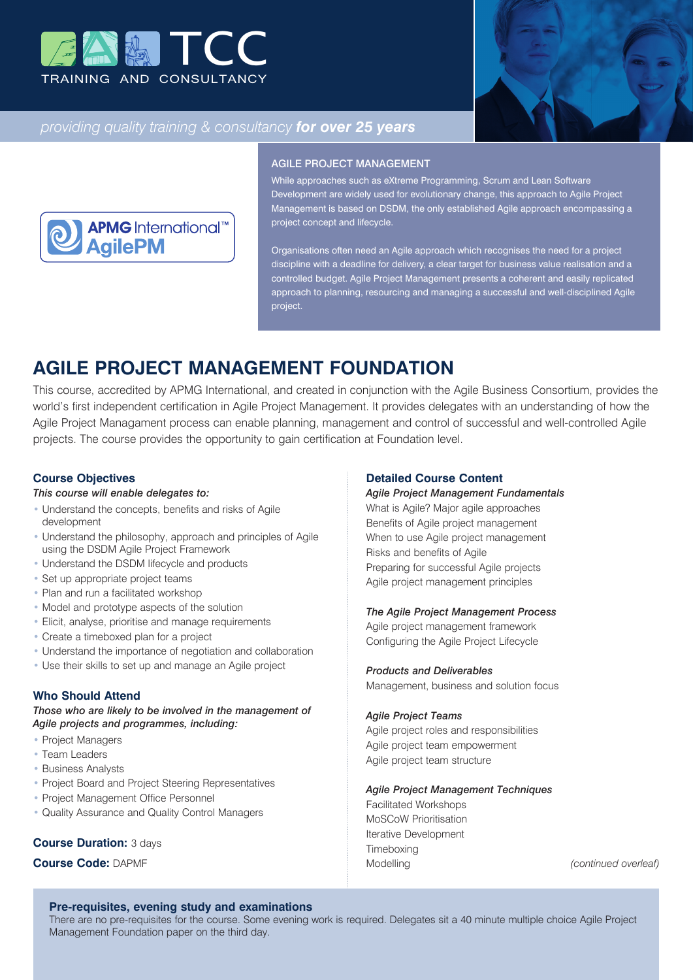



# *providing quality training & consultancy for over 25 years*



#### AGILE PROJECT MANAGEMENT

While approaches such as eXtreme Programming, Scrum and Lean Software Development are widely used for evolutionary change, this approach to Agile Project Management is based on DSDM, the only established Agile approach encompassing a project concept and lifecycle.

Organisations often need an Agile approach which recognises the need for a project discipline with a deadline for delivery, a clear target for business value realisation and a controlled budget. Agile Project Management presents a coherent and easily replicated approach to planning, resourcing and managing a successful and well-disciplined Agile project.

# **AGILE PROJECT MANAGEMENT FOUNDATION**

This course, accredited by APMG International, and created in conjunction with the Agile Business Consortium, provides the world's first independent certification in Agile Project Management. It provides delegates with an understanding of how the Agile Project Managament process can enable planning, management and control of successful and well-controlled Agile projects. The course provides the opportunity to gain certification at Foundation level.

# **Course Objectives**

#### *This course will enable delegates to:*

- Understand the concepts, benefits and risks of Agile development
- Understand the philosophy, approach and principles of Agile using the DSDM Agile Project Framework
- Understand the DSDM lifecycle and products
- Set up appropriate project teams
- Plan and run a facilitated workshop
- Model and prototype aspects of the solution
- Elicit, analyse, prioritise and manage requirements
- Create a timeboxed plan for a project
- Understand the importance of negotiation and collaboration
- Use their skills to set up and manage an Agile project

## **Who Should Attend**

*Those who are likely to be involved in the management of Agile projects and programmes, including:*

- Project Managers
- Team Leaders
- Business Analysts
- Project Board and Project Steering Representatives
- Project Management Office Personnel
- Quality Assurance and Quality Control Managers

### **Course Duration:** 3 days

# **Course Code:** DAPMF

# **Detailed Course Content**

*Agile Project Management Fundamentals*

What is Agile? Major agile approaches Benefits of Agile project management When to use Agile project management Risks and benefits of Agile Preparing for successful Agile projects Agile project management principles

#### *The Agile Project Management Process*

Agile project management framework Configuring the Agile Project Lifecycle

### *Products and Deliverables*

Management, business and solution focus

#### *Agile Project Teams*

Agile project roles and responsibilities Agile project team empowerment Agile project team structure

#### *Agile Project Management Techniques*

Facilitated Workshops MoSCoW Prioritisation Iterative Development **Timeboxing** Modelling *(continued overleaf)*

# **Pre-requisites, evening study and examinations**

There are no pre-requisites for the course. Some evening work is required. Delegates sit a 40 minute multiple choice Agile Project Management Foundation paper on the third day.